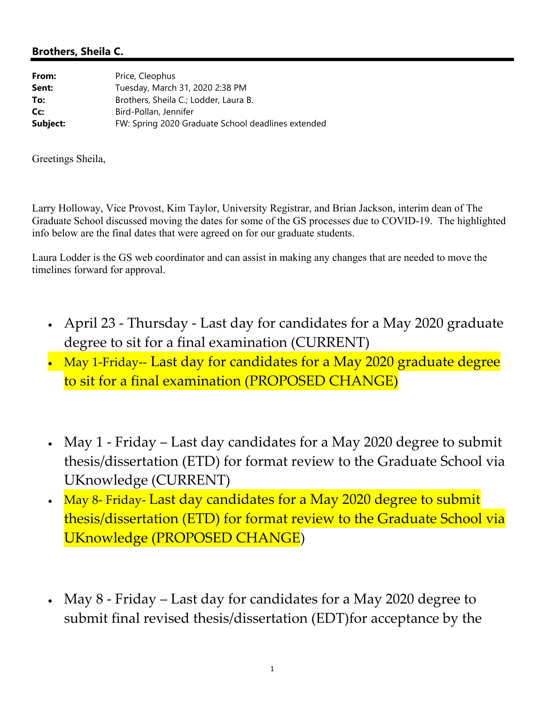## **Brothers, Sheila C.**

| From:    | Price, Cleophus                                    |
|----------|----------------------------------------------------|
| Sent:    | Tuesday, March 31, 2020 2:38 PM                    |
| To:      | Brothers, Sheila C.; Lodder, Laura B.              |
| Cc:      | Bird-Pollan, Jennifer                              |
| Subject: | FW: Spring 2020 Graduate School deadlines extended |

Greetings Sheila,

Larry Holloway, Vice Provost, Kim Taylor, University Registrar, and Brian Jackson, interim dean of The Graduate School discussed moving the dates for some of the GS processes due to COVID-19. The highlighted info below are the final dates that were agreed on for our graduate students.

Laura Lodder is the GS web coordinator and can assist in making any changes that are needed to move the timelines forward for approval.

- April 23 ‐ Thursday ‐ Last day for candidates for a May 2020 graduate degree to sit for a final examination (CURRENT)
- May 1-Friday-- Last day for candidates for a May 2020 graduate degree to sit for a final examination (PROPOSED CHANGE)
- May 1 Friday Last day candidates for a May 2020 degree to submit thesis/dissertation (ETD) for format review to the Graduate School via UKnowledge (CURRENT)
- May 8- Friday- Last day candidates for a May 2020 degree to submit thesis/dissertation (ETD) for format review to the Graduate School via UKnowledge (PROPOSED CHANGE)
- May 8 Friday Last day for candidates for a May 2020 degree to submit final revised thesis/dissertation (EDT)for acceptance by the